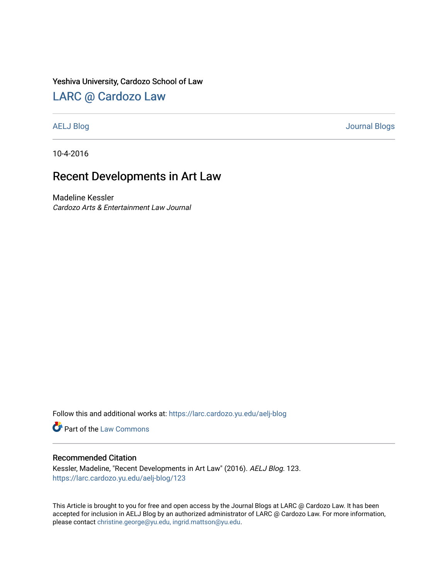### Yeshiva University, Cardozo School of Law

## [LARC @ Cardozo Law](https://larc.cardozo.yu.edu/)

[AELJ Blog](https://larc.cardozo.yu.edu/aelj-blog) [Journal Blogs](https://larc.cardozo.yu.edu/journal-blogs) 

10-4-2016

# Recent Developments in Art Law

Madeline Kessler Cardozo Arts & Entertainment Law Journal

Follow this and additional works at: [https://larc.cardozo.yu.edu/aelj-blog](https://larc.cardozo.yu.edu/aelj-blog?utm_source=larc.cardozo.yu.edu%2Faelj-blog%2F123&utm_medium=PDF&utm_campaign=PDFCoverPages) 

Part of the [Law Commons](http://network.bepress.com/hgg/discipline/578?utm_source=larc.cardozo.yu.edu%2Faelj-blog%2F123&utm_medium=PDF&utm_campaign=PDFCoverPages)

### Recommended Citation

Kessler, Madeline, "Recent Developments in Art Law" (2016). AELJ Blog. 123. [https://larc.cardozo.yu.edu/aelj-blog/123](https://larc.cardozo.yu.edu/aelj-blog/123?utm_source=larc.cardozo.yu.edu%2Faelj-blog%2F123&utm_medium=PDF&utm_campaign=PDFCoverPages) 

This Article is brought to you for free and open access by the Journal Blogs at LARC @ Cardozo Law. It has been accepted for inclusion in AELJ Blog by an authorized administrator of LARC @ Cardozo Law. For more information, please contact [christine.george@yu.edu, ingrid.mattson@yu.edu.](mailto:christine.george@yu.edu,%20ingrid.mattson@yu.edu)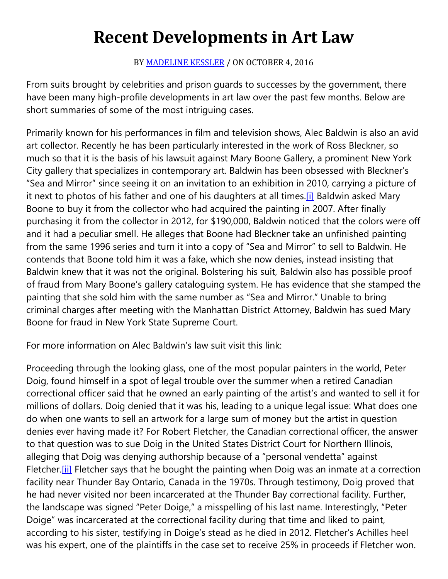# **Recent Developments in Art Law**

BY [MADELINE KESSLER](https://cardozoaelj.com/author/madeline-kessler/) / ON OCTOBER 4, 2016

From suits brought by celebrities and prison guards to successes by the government, there have been many high-profile developments in art law over the past few months. Below are short summaries of some of the most intriguing cases.

Primarily known for his performances in film and television shows, Alec Baldwin is also an avid art collector. Recently he has been particularly interested in the work of Ross Bleckner, so much so that it is the basis of his lawsuit against Mary Boone Gallery, a prominent New York City gallery that specializes in contemporary art. Baldwin has been obsessed with Bleckner's "Sea and Mirror" since seeing it on an invitation to an exhibition in 2010, carrying a picture of it next to photos of his father and one of his daughters at all times[.\[i\]](https://cardozoaelj.com/2016/10/04/recent-developments-art-law/#_edn1) Baldwin asked Mary Boone to buy it from the collector who had acquired the painting in 2007. After finally purchasing it from the collector in 2012, for \$190,000, Baldwin noticed that the colors were off and it had a peculiar smell. He alleges that Boone had Bleckner take an unfinished painting from the same 1996 series and turn it into a copy of "Sea and Mirror" to sell to Baldwin. He contends that Boone told him it was a fake, which she now denies, instead insisting that Baldwin knew that it was not the original. Bolstering his suit, Baldwin also has possible proof of fraud from Mary Boone's gallery cataloguing system. He has evidence that she stamped the painting that she sold him with the same number as "Sea and Mirror." Unable to bring criminal charges after meeting with the Manhattan District Attorney, Baldwin has sued Mary Boone for fraud in New York State Supreme Court.

For more information on Alec Baldwin's law suit visit this link:

Proceeding through the looking glass, one of the most popular painters in the world, Peter Doig, found himself in a spot of legal trouble over the summer when a retired Canadian correctional officer said that he owned an early painting of the artist's and wanted to sell it for millions of dollars. Doig denied that it was his, leading to a unique legal issue: What does one do when one wants to sell an artwork for a large sum of money but the artist in question denies ever having made it? For Robert Fletcher, the Canadian correctional officer, the answer to that question was to sue Doig in the United States District Court for Northern Illinois, alleging that Doig was denying authorship because of a "personal vendetta" against Fletcher. [ii] Fletcher says that he bought the painting when Doig was an inmate at a correction facility near Thunder Bay Ontario, Canada in the 1970s. Through testimony, Doig proved that he had never visited nor been incarcerated at the Thunder Bay correctional facility. Further, the landscape was signed "Peter Doige," a misspelling of his last name. Interestingly, "Peter Doige" was incarcerated at the correctional facility during that time and liked to paint, according to his sister, testifying in Doige's stead as he died in 2012. Fletcher's Achilles heel was his expert, one of the plaintiffs in the case set to receive 25% in proceeds if Fletcher won.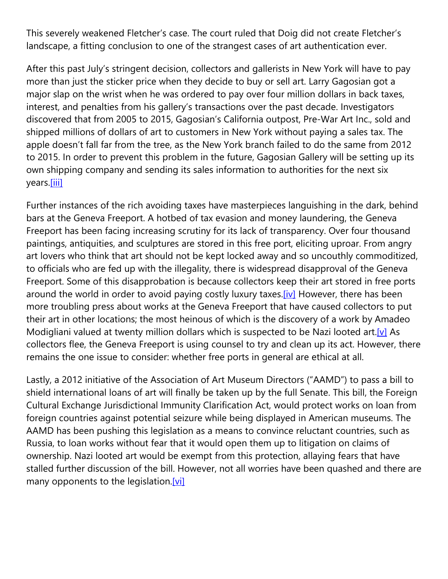This severely weakened Fletcher's case. The court ruled that Doig did not create Fletcher's landscape, a fitting conclusion to one of the strangest cases of art authentication ever.

After this past July's stringent decision, collectors and gallerists in New York will have to pay more than just the sticker price when they decide to buy or sell art. Larry Gagosian got a major slap on the wrist when he was ordered to pay over four million dollars in back taxes, interest, and penalties from his gallery's transactions over the past decade. Investigators discovered that from 2005 to 2015, Gagosian's California outpost, Pre-War Art Inc., sold and shipped millions of dollars of art to customers in New York without paying a sales tax. The apple doesn't fall far from the tree, as the New York branch failed to do the same from 2012 to 2015. In order to prevent this problem in the future, Gagosian Gallery will be setting up its own shipping company and sending its sales information to authorities for the next six years[.\[iii\]](https://cardozoaelj.com/2016/10/04/recent-developments-art-law/#_edn3)

Further instances of the rich avoiding taxes have masterpieces languishing in the dark, behind bars at the Geneva Freeport. A hotbed of tax evasion and money laundering, the Geneva Freeport has been facing increasing scrutiny for its lack of transparency. Over four thousand paintings, antiquities, and sculptures are stored in this free port, eliciting uproar. From angry art lovers who think that art should not be kept locked away and so uncouthly commoditized, to officials who are fed up with the illegality, there is widespread disapproval of the Geneva Freeport. Some of this disapprobation is because collectors keep their art stored in free ports around the world in order to avoid paying costly luxury taxes[.\[iv\]](https://cardozoaelj.com/2016/10/04/recent-developments-art-law/#_edn4) However, there has been more troubling press about works at the Geneva Freeport that have caused collectors to put their art in other locations; the most heinous of which is the discovery of a work by Amadeo Modigliani valued at twenty million dollars which is suspected to be Nazi looted art.<sup>[v]</sup> As collectors flee, the Geneva Freeport is using counsel to try and clean up its act. However, there remains the one issue to consider: whether free ports in general are ethical at all.

Lastly, a 2012 initiative of the Association of Art Museum Directors ("AAMD") to pass a bill to shield international loans of art will finally be taken up by the full Senate. This bill, the Foreign Cultural Exchange Jurisdictional Immunity Clarification Act, would protect works on loan from foreign countries against potential seizure while being displayed in American museums. The AAMD has been pushing this legislation as a means to convince reluctant countries, such as Russia, to loan works without fear that it would open them up to litigation on claims of ownership. Nazi looted art would be exempt from this protection, allaying fears that have stalled further discussion of the bill. However, not all worries have been quashed and there are many opponents to the legislation[.\[vi\]](https://cardozoaelj.com/2016/10/04/recent-developments-art-law/#_edn6)